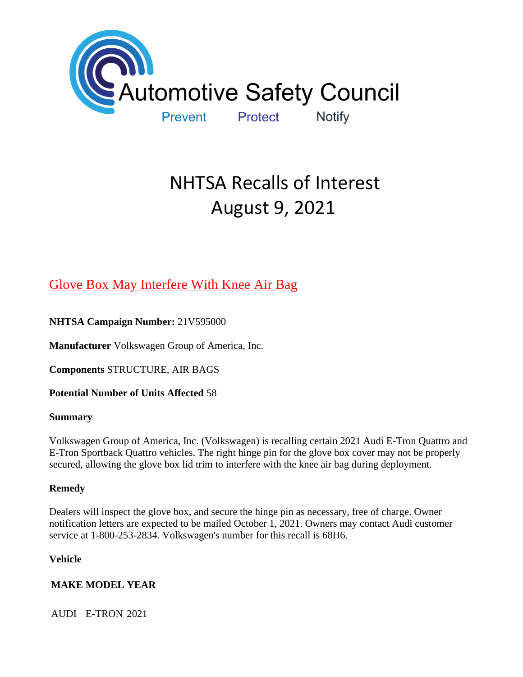

# NHTSA Recalls of Interest August 9, 2021

# [Glove Box May Interfere With Knee Air Bag](https://www.nhtsa.gov/recalls?nhtsaId=21V595#recalls630)

**NHTSA Campaign Number:** 21V595000

**Manufacturer** Volkswagen Group of America, Inc.

**Components** STRUCTURE, AIR BAGS

**Potential Number of Units Affected** 58

# **Summary**

Volkswagen Group of America, Inc. (Volkswagen) is recalling certain 2021 Audi E-Tron Quattro and E-Tron Sportback Quattro vehicles. The right hinge pin for the glove box cover may not be properly secured, allowing the glove box lid trim to interfere with the knee air bag during deployment.

# **Remedy**

Dealers will inspect the glove box, and secure the hinge pin as necessary, free of charge. Owner notification letters are expected to be mailed October 1, 2021. Owners may contact Audi customer service at 1-800-253-2834. Volkswagen's number for this recall is 68H6.

**Vehicle**

# **MAKE MODEL YEAR**

AUDI E-TRON 2021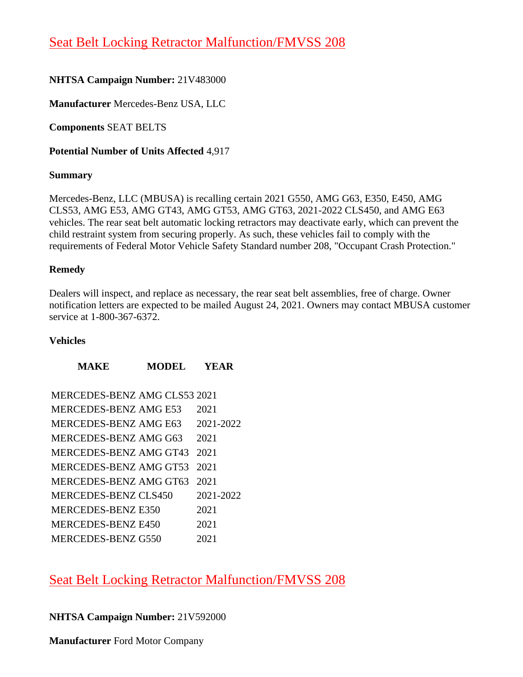# [Seat Belt Locking Retractor Malfunction/FMVSS 208](https://www.nhtsa.gov/recalls?nhtsaId=21V483#recalls630)

# **NHTSA Campaign Number:** 21V483000

**Manufacturer** Mercedes-Benz USA, LLC

**Components** SEAT BELTS

**Potential Number of Units Affected** 4,917

### **Summary**

Mercedes-Benz, LLC (MBUSA) is recalling certain 2021 G550, AMG G63, E350, E450, AMG CLS53, AMG E53, AMG GT43, AMG GT53, AMG GT63, 2021-2022 CLS450, and AMG E63 vehicles. The rear seat belt automatic locking retractors may deactivate early, which can prevent the child restraint system from securing properly. As such, these vehicles fail to comply with the requirements of Federal Motor Vehicle Safety Standard number 208, "Occupant Crash Protection."

### **Remedy**

Dealers will inspect, and replace as necessary, the rear seat belt assemblies, free of charge. Owner notification letters are expected to be mailed August 24, 2021. Owners may contact MBUSA customer service at 1-800-367-6372.

### **Vehicles**

| MERCEDES-BENZ AMG CLS53 2021 |
|------------------------------|
| 2021                         |
| 2021-2022                    |
| 2021                         |
| 2021                         |
| 2021                         |
| 2021                         |
| 2021-2022                    |
| 2021                         |
| 2021                         |
| 2021                         |
|                              |

**MAKE MODEL YEAR**

[Seat Belt Locking Retractor Malfunction/FMVSS 208](https://www.nhtsa.gov/recalls?nhtsaId=21V592#recalls630) 

# **NHTSA Campaign Number:** 21V592000

**Manufacturer** Ford Motor Company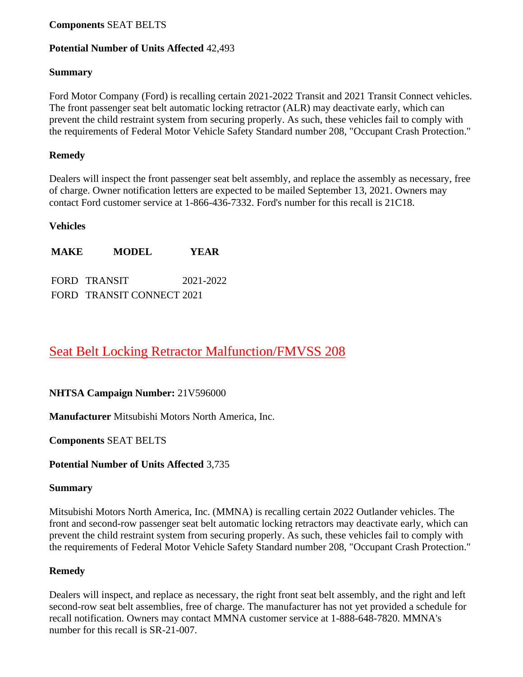### **Components** SEAT BELTS

### **Potential Number of Units Affected** 42,493

#### **Summary**

Ford Motor Company (Ford) is recalling certain 2021-2022 Transit and 2021 Transit Connect vehicles. The front passenger seat belt automatic locking retractor (ALR) may deactivate early, which can prevent the child restraint system from securing properly. As such, these vehicles fail to comply with the requirements of Federal Motor Vehicle Safety Standard number 208, "Occupant Crash Protection."

### **Remedy**

Dealers will inspect the front passenger seat belt assembly, and replace the assembly as necessary, free of charge. Owner notification letters are expected to be mailed September 13, 2021. Owners may contact Ford customer service at 1-866-436-7332. Ford's number for this recall is 21C18.

### **Vehicles**

**MAKE MODEL YEAR**

FORD TRANSIT 2021-2022 FORD TRANSIT CONNECT 2021

# [Seat Belt Locking Retractor Malfunction/FMVSS 208](https://www.nhtsa.gov/recalls?nhtsaId=21V596#recalls630)

### **NHTSA Campaign Number:** 21V596000

**Manufacturer** Mitsubishi Motors North America, Inc.

**Components** SEAT BELTS

### **Potential Number of Units Affected** 3,735

### **Summary**

Mitsubishi Motors North America, Inc. (MMNA) is recalling certain 2022 Outlander vehicles. The front and second-row passenger seat belt automatic locking retractors may deactivate early, which can prevent the child restraint system from securing properly. As such, these vehicles fail to comply with the requirements of Federal Motor Vehicle Safety Standard number 208, "Occupant Crash Protection."

### **Remedy**

Dealers will inspect, and replace as necessary, the right front seat belt assembly, and the right and left second-row seat belt assemblies, free of charge. The manufacturer has not yet provided a schedule for recall notification. Owners may contact MMNA customer service at 1-888-648-7820. MMNA's number for this recall is SR-21-007.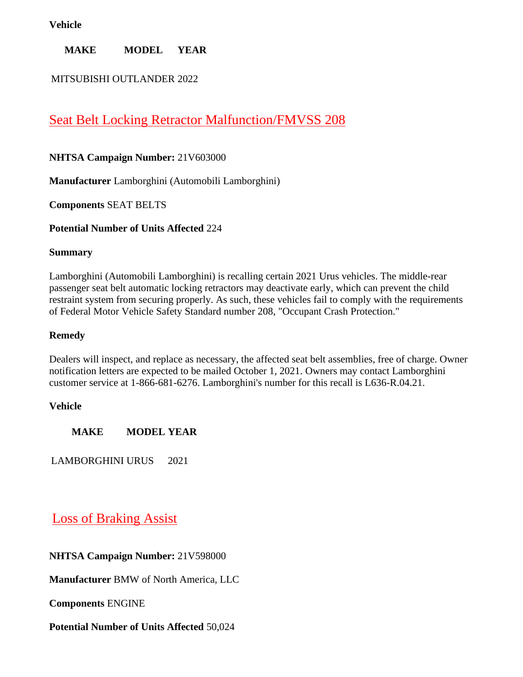### **Vehicle**

# **MAKE MODEL YEAR**

# MITSUBISHI OUTLANDER 2022

# [Seat Belt Locking Retractor Malfunction/FMVSS 208](https://www.nhtsa.gov/recalls?nhtsaId=21V603#recalls630)

# **NHTSA Campaign Number:** 21V603000

**Manufacturer** Lamborghini (Automobili Lamborghini)

**Components** SEAT BELTS

**Potential Number of Units Affected** 224

### **Summary**

Lamborghini (Automobili Lamborghini) is recalling certain 2021 Urus vehicles. The middle-rear passenger seat belt automatic locking retractors may deactivate early, which can prevent the child restraint system from securing properly. As such, these vehicles fail to comply with the requirements of Federal Motor Vehicle Safety Standard number 208, "Occupant Crash Protection."

### **Remedy**

Dealers will inspect, and replace as necessary, the affected seat belt assemblies, free of charge. Owner notification letters are expected to be mailed October 1, 2021. Owners may contact Lamborghini customer service at 1-866-681-6276. Lamborghini's number for this recall is L636-R.04.21.

# **Vehicle**

**MAKE MODEL YEAR**

LAMBORGHINI URUS 2021

# [Loss of Braking Assist](https://www.nhtsa.gov/recalls?nhtsaId=21V598#recalls630)

**NHTSA Campaign Number:** 21V598000

**Manufacturer** BMW of North America, LLC

**Components** ENGINE

# **Potential Number of Units Affected** 50,024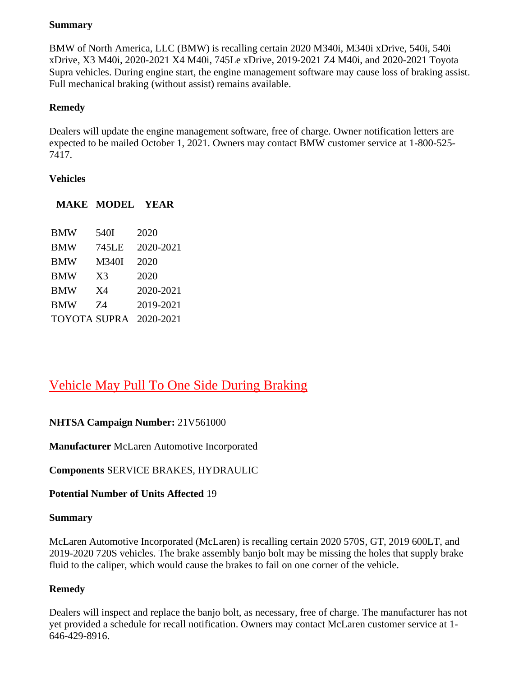### **Summary**

BMW of North America, LLC (BMW) is recalling certain 2020 M340i, M340i xDrive, 540i, 540i xDrive, X3 M40i, 2020-2021 X4 M40i, 745Le xDrive, 2019-2021 Z4 M40i, and 2020-2021 Toyota Supra vehicles. During engine start, the engine management software may cause loss of braking assist. Full mechanical braking (without assist) remains available.

# **Remedy**

Dealers will update the engine management software, free of charge. Owner notification letters are expected to be mailed October 1, 2021. Owners may contact BMW customer service at 1-800-525- 7417.

# **Vehicles**

| <b>BMW</b>          | 540I           | 2020      |
|---------------------|----------------|-----------|
| <b>BMW</b>          | 745LE          | 2020-2021 |
| <b>BMW</b>          | M340I          | 2020      |
| <b>BMW</b>          | X <sub>3</sub> | 2020      |
| <b>BMW</b>          | X4             | 2020-2021 |
| <b>BMW</b>          | 74             | 2019-2021 |
| <b>TOYOTA SUPRA</b> |                | 2020-2021 |

**MAKE MODEL YEAR**

# [Vehicle May Pull To One Side During Braking](https://www.nhtsa.gov/recalls?nhtsaId=21V561#recalls630)

# **NHTSA Campaign Number:** 21V561000

**Manufacturer** McLaren Automotive Incorporated

**Components** SERVICE BRAKES, HYDRAULIC

**Potential Number of Units Affected** 19

# **Summary**

McLaren Automotive Incorporated (McLaren) is recalling certain 2020 570S, GT, 2019 600LT, and 2019-2020 720S vehicles. The brake assembly banjo bolt may be missing the holes that supply brake fluid to the caliper, which would cause the brakes to fail on one corner of the vehicle.

# **Remedy**

Dealers will inspect and replace the banjo bolt, as necessary, free of charge. The manufacturer has not yet provided a schedule for recall notification. Owners may contact McLaren customer service at 1- 646-429-8916.